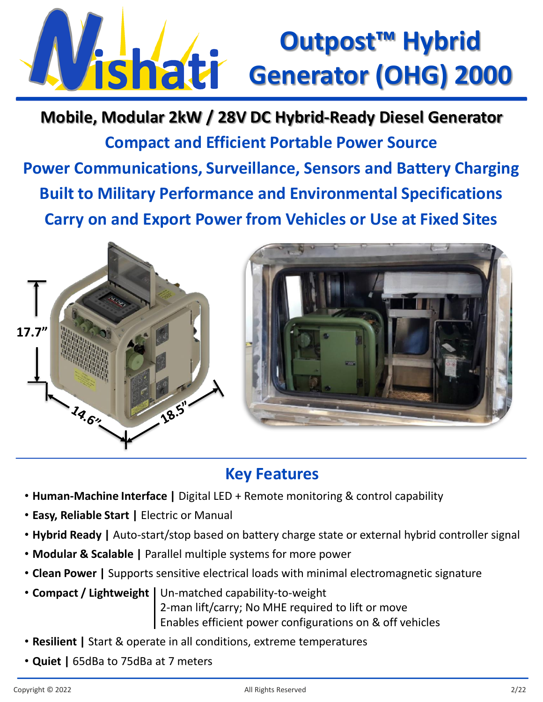## **Outpost™ Hybrid Vishati** Generator (OHG) 2000

**Compact and Efficient Portable Power Source Power Communications, Surveillance, Sensors and Battery Charging Built to Military Performance and Environmental Specifications Carry on and Export Power from Vehicles or Use at Fixed Sites Mobile, Modular 2kW / 28V DC Hybrid-Ready Diesel Generator**



## **Key Features**

- **Human-Machine Interface |** Digital LED + Remote monitoring & control capability
- **Easy, Reliable Start |** Electric or Manual
- **Hybrid Ready |** Auto-start/stop based on battery charge state or external hybrid controller signal
- **Modular & Scalable |** Parallel multiple systems for more power
- **Clean Power |** Supports sensitive electrical loads with minimal electromagnetic signature
- **Compact / Lightweight |** Un-matched capability-to-weight 2-man lift/carry; No MHE required to lift or move Enables efficient power configurations on & off vehicles
- **Resilient |** Start & operate in all conditions, extreme temperatures
- **Quiet |** 65dBa to 75dBa at 7 meters